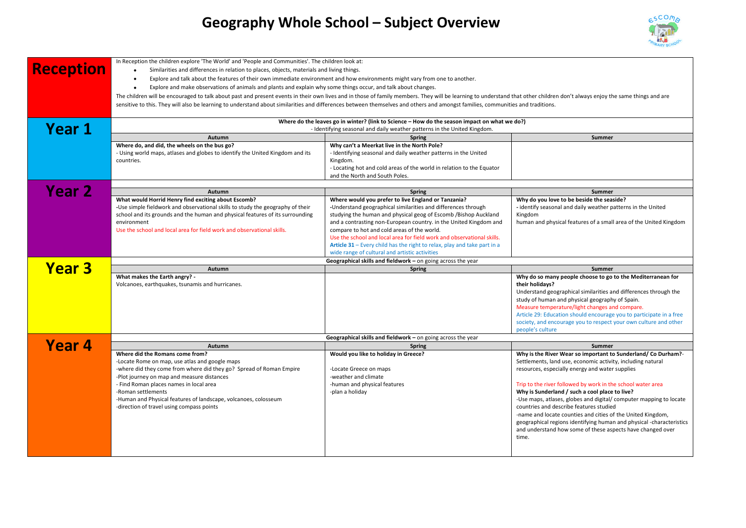## **Geography Whole School – Subject Overview**



| <b>Reception</b><br>Year 1 | In Reception the children explore 'The World' and 'People and Communities'. The children look at:<br>Similarities and differences in relation to places, objects, materials and living things.<br>Explore and talk about the features of their own immediate environment and how environments might vary from one to another.<br>$\bullet$<br>Explore and make observations of animals and plants and explain why some things occur, and talk about changes.<br>$\bullet$<br>The children will be encouraged to talk about past and present events in their own lives and in those of family members. They will be learning to understand that other children don't always enjoy the same things and are<br>sensitive to this. They will also be learning to understand about similarities and differences between themselves and others and amongst families, communities and traditions.<br>Where do the leaves go in winter? (link to Science - How do the season impact on what we do?)<br>- Identifying seasonal and daily weather patterns in the United Kingdom. |                                                                                                                                                                                                                                                                                                                                                                                                                                                                                                                     |                                                                                                                                                                                                                                                                                                                                                                                                                                                                                                                                                                                                                                |  |
|----------------------------|-------------------------------------------------------------------------------------------------------------------------------------------------------------------------------------------------------------------------------------------------------------------------------------------------------------------------------------------------------------------------------------------------------------------------------------------------------------------------------------------------------------------------------------------------------------------------------------------------------------------------------------------------------------------------------------------------------------------------------------------------------------------------------------------------------------------------------------------------------------------------------------------------------------------------------------------------------------------------------------------------------------------------------------------------------------------------|---------------------------------------------------------------------------------------------------------------------------------------------------------------------------------------------------------------------------------------------------------------------------------------------------------------------------------------------------------------------------------------------------------------------------------------------------------------------------------------------------------------------|--------------------------------------------------------------------------------------------------------------------------------------------------------------------------------------------------------------------------------------------------------------------------------------------------------------------------------------------------------------------------------------------------------------------------------------------------------------------------------------------------------------------------------------------------------------------------------------------------------------------------------|--|
|                            | Autumn                                                                                                                                                                                                                                                                                                                                                                                                                                                                                                                                                                                                                                                                                                                                                                                                                                                                                                                                                                                                                                                                  | <b>Spring</b>                                                                                                                                                                                                                                                                                                                                                                                                                                                                                                       | <b>Summer</b>                                                                                                                                                                                                                                                                                                                                                                                                                                                                                                                                                                                                                  |  |
|                            | Where do, and did, the wheels on the bus go?<br>- Using world maps, atlases and globes to identify the United Kingdom and its<br>countries.                                                                                                                                                                                                                                                                                                                                                                                                                                                                                                                                                                                                                                                                                                                                                                                                                                                                                                                             | Why can't a Meerkat live in the North Pole?<br>- Identifying seasonal and daily weather patterns in the United<br>Kingdom.<br>- Locating hot and cold areas of the world in relation to the Equator<br>and the North and South Poles.                                                                                                                                                                                                                                                                               |                                                                                                                                                                                                                                                                                                                                                                                                                                                                                                                                                                                                                                |  |
| Year <sub>2</sub>          | Autumn                                                                                                                                                                                                                                                                                                                                                                                                                                                                                                                                                                                                                                                                                                                                                                                                                                                                                                                                                                                                                                                                  | <b>Spring</b>                                                                                                                                                                                                                                                                                                                                                                                                                                                                                                       | <b>Summer</b>                                                                                                                                                                                                                                                                                                                                                                                                                                                                                                                                                                                                                  |  |
|                            | What would Horrid Henry find exciting about Escomb?<br>-Use simple fieldwork and observational skills to study the geography of their<br>school and its grounds and the human and physical features of its surrounding<br>environment<br>Use the school and local area for field work and observational skills.                                                                                                                                                                                                                                                                                                                                                                                                                                                                                                                                                                                                                                                                                                                                                         | Where would you prefer to live England or Tanzania?<br>-Understand geographical similarities and differences through<br>studying the human and physical geog of Escomb /Bishop Auckland<br>and a contrasting non-European country. in the United Kingdom and<br>compare to hot and cold areas of the world.<br>Use the school and local area for field work and observational skills.<br>Article 31 - Every child has the right to relax, play and take part in a<br>wide range of cultural and artistic activities | Why do you love to be beside the seaside?<br>- identify seasonal and daily weather patterns in the United<br>Kingdom<br>human and physical features of a small area of the United Kingdom                                                                                                                                                                                                                                                                                                                                                                                                                                      |  |
|                            | Geographical skills and fieldwork - on going across the year                                                                                                                                                                                                                                                                                                                                                                                                                                                                                                                                                                                                                                                                                                                                                                                                                                                                                                                                                                                                            |                                                                                                                                                                                                                                                                                                                                                                                                                                                                                                                     |                                                                                                                                                                                                                                                                                                                                                                                                                                                                                                                                                                                                                                |  |
| <b>Year 3</b>              | Autumn                                                                                                                                                                                                                                                                                                                                                                                                                                                                                                                                                                                                                                                                                                                                                                                                                                                                                                                                                                                                                                                                  | <b>Spring</b>                                                                                                                                                                                                                                                                                                                                                                                                                                                                                                       | Summer                                                                                                                                                                                                                                                                                                                                                                                                                                                                                                                                                                                                                         |  |
|                            | What makes the Earth angry? -<br>Volcanoes, earthquakes, tsunamis and hurricanes.                                                                                                                                                                                                                                                                                                                                                                                                                                                                                                                                                                                                                                                                                                                                                                                                                                                                                                                                                                                       |                                                                                                                                                                                                                                                                                                                                                                                                                                                                                                                     | Why do so many people choose to go to the Mediterranean for<br>their holidays?<br>Understand geographical similarities and differences through the<br>study of human and physical geography of Spain.<br>Measure temperature/light changes and compare.<br>Article 29: Education should encourage you to participate in a free<br>society, and encourage you to respect your own culture and other<br>people's culture                                                                                                                                                                                                         |  |
|                            | Geographical skills and fieldwork - on going across the year                                                                                                                                                                                                                                                                                                                                                                                                                                                                                                                                                                                                                                                                                                                                                                                                                                                                                                                                                                                                            |                                                                                                                                                                                                                                                                                                                                                                                                                                                                                                                     |                                                                                                                                                                                                                                                                                                                                                                                                                                                                                                                                                                                                                                |  |
| Year 4                     | Autumn                                                                                                                                                                                                                                                                                                                                                                                                                                                                                                                                                                                                                                                                                                                                                                                                                                                                                                                                                                                                                                                                  | <b>Spring</b>                                                                                                                                                                                                                                                                                                                                                                                                                                                                                                       | Summer                                                                                                                                                                                                                                                                                                                                                                                                                                                                                                                                                                                                                         |  |
|                            | Where did the Romans come from?<br>-Locate Rome on map, use atlas and google maps<br>-where did they come from where did they go? Spread of Roman Empire<br>-Plot journey on map and measure distances<br>- Find Roman places names in local area<br>-Roman settlements<br>-Human and Physical features of landscape, volcanoes, colosseum<br>-direction of travel using compass points                                                                                                                                                                                                                                                                                                                                                                                                                                                                                                                                                                                                                                                                                 | Would you like to holiday in Greece?<br>-Locate Greece on maps<br>-weather and climate<br>-human and physical features<br>-plan a holiday                                                                                                                                                                                                                                                                                                                                                                           | Why is the River Wear so important to Sunderland/Co Durham?-<br>Settlements, land use, economic activity, including natural<br>resources, especially energy and water supplies<br>Trip to the river followed by work in the school water area<br>Why is Sunderland / such a cool place to live?<br>-Use maps, atlases, globes and digital/ computer mapping to locate<br>countries and describe features studied<br>-name and locate counties and cities of the United Kingdom,<br>geographical regions identifying human and physical -characteristics<br>and understand how some of these aspects have changed over<br>time. |  |